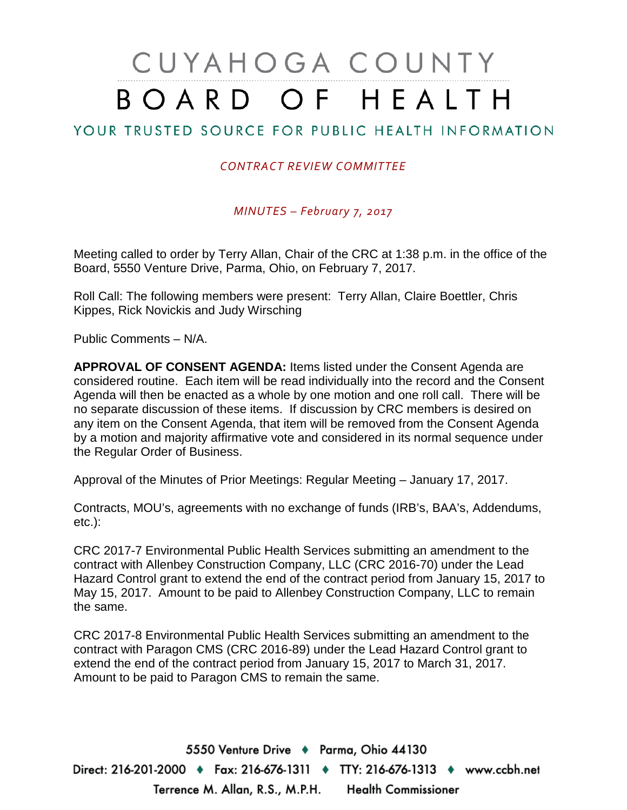# CUYAHOGA COUNTY BOARD OF HEALTH

## YOUR TRUSTED SOURCE FOR PUBLIC HEALTH INFORMATION

#### *CONTRACT REVIEW COMMITTEE*

*MINUTES – February 7, 2017*

Meeting called to order by Terry Allan, Chair of the CRC at 1:38 p.m. in the office of the Board, 5550 Venture Drive, Parma, Ohio, on February 7, 2017.

Roll Call: The following members were present: Terry Allan, Claire Boettler, Chris Kippes, Rick Novickis and Judy Wirsching

Public Comments – N/A.

**APPROVAL OF CONSENT AGENDA:** Items listed under the Consent Agenda are considered routine. Each item will be read individually into the record and the Consent Agenda will then be enacted as a whole by one motion and one roll call. There will be no separate discussion of these items. If discussion by CRC members is desired on any item on the Consent Agenda, that item will be removed from the Consent Agenda by a motion and majority affirmative vote and considered in its normal sequence under the Regular Order of Business.

Approval of the Minutes of Prior Meetings: Regular Meeting – January 17, 2017.

Contracts, MOU's, agreements with no exchange of funds (IRB's, BAA's, Addendums, etc.):

CRC 2017-7 Environmental Public Health Services submitting an amendment to the contract with Allenbey Construction Company, LLC (CRC 2016-70) under the Lead Hazard Control grant to extend the end of the contract period from January 15, 2017 to May 15, 2017. Amount to be paid to Allenbey Construction Company, LLC to remain the same.

CRC 2017-8 Environmental Public Health Services submitting an amendment to the contract with Paragon CMS (CRC 2016-89) under the Lead Hazard Control grant to extend the end of the contract period from January 15, 2017 to March 31, 2017. Amount to be paid to Paragon CMS to remain the same.

5550 Venture Drive + Parma, Ohio 44130 Direct: 216-201-2000 ♦ Fax: 216-676-1311 ♦ TTY: 216-676-1313 ♦ www.ccbh.net Terrence M. Allan, R.S., M.P.H. Health Commissioner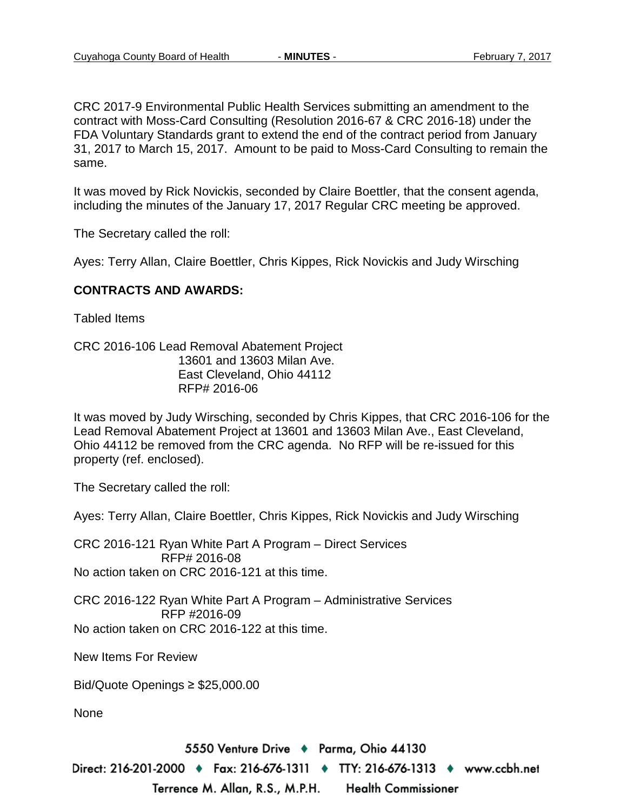CRC 2017-9 Environmental Public Health Services submitting an amendment to the contract with Moss-Card Consulting (Resolution 2016-67 & CRC 2016-18) under the FDA Voluntary Standards grant to extend the end of the contract period from January 31, 2017 to March 15, 2017. Amount to be paid to Moss-Card Consulting to remain the same.

It was moved by Rick Novickis, seconded by Claire Boettler, that the consent agenda, including the minutes of the January 17, 2017 Regular CRC meeting be approved.

The Secretary called the roll:

Ayes: Terry Allan, Claire Boettler, Chris Kippes, Rick Novickis and Judy Wirsching

#### **CONTRACTS AND AWARDS:**

Tabled Items

CRC 2016-106 Lead Removal Abatement Project 13601 and 13603 Milan Ave. East Cleveland, Ohio 44112 RFP# 2016-06

It was moved by Judy Wirsching, seconded by Chris Kippes, that CRC 2016-106 for the Lead Removal Abatement Project at 13601 and 13603 Milan Ave., East Cleveland, Ohio 44112 be removed from the CRC agenda. No RFP will be re-issued for this property (ref. enclosed).

The Secretary called the roll:

Ayes: Terry Allan, Claire Boettler, Chris Kippes, Rick Novickis and Judy Wirsching

CRC 2016-121 Ryan White Part A Program – Direct Services RFP# 2016-08 No action taken on CRC 2016-121 at this time.

CRC 2016-122 Ryan White Part A Program – Administrative Services RFP #2016-09 No action taken on CRC 2016-122 at this time.

New Items For Review

Bid/Quote Openings ≥ \$25,000.00

None

5550 Venture Drive + Parma, Ohio 44130

Direct: 216-201-2000 ♦ Fax: 216-676-1311 ♦ TTY: 216-676-1313 ♦ www.ccbh.net Terrence M. Allan, R.S., M.P.H. **Health Commissioner**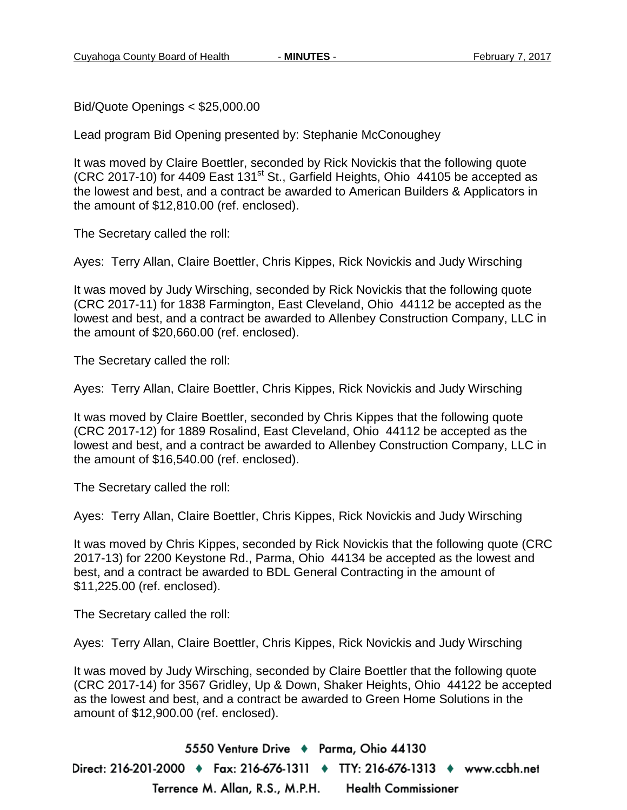Bid/Quote Openings < \$25,000.00

Lead program Bid Opening presented by: Stephanie McConoughey

It was moved by Claire Boettler, seconded by Rick Novickis that the following quote  $($ CRC 2017-10 $)$  for 4409 East 131<sup>st</sup> St., Garfield Heights, Ohio 44105 be accepted as the lowest and best, and a contract be awarded to American Builders & Applicators in the amount of \$12,810.00 (ref. enclosed).

The Secretary called the roll:

Ayes: Terry Allan, Claire Boettler, Chris Kippes, Rick Novickis and Judy Wirsching

It was moved by Judy Wirsching, seconded by Rick Novickis that the following quote (CRC 2017-11) for 1838 Farmington, East Cleveland, Ohio 44112 be accepted as the lowest and best, and a contract be awarded to Allenbey Construction Company, LLC in the amount of \$20,660.00 (ref. enclosed).

The Secretary called the roll:

Ayes: Terry Allan, Claire Boettler, Chris Kippes, Rick Novickis and Judy Wirsching

It was moved by Claire Boettler, seconded by Chris Kippes that the following quote (CRC 2017-12) for 1889 Rosalind, East Cleveland, Ohio 44112 be accepted as the lowest and best, and a contract be awarded to Allenbey Construction Company, LLC in the amount of \$16,540.00 (ref. enclosed).

The Secretary called the roll:

Ayes: Terry Allan, Claire Boettler, Chris Kippes, Rick Novickis and Judy Wirsching

It was moved by Chris Kippes, seconded by Rick Novickis that the following quote (CRC 2017-13) for 2200 Keystone Rd., Parma, Ohio 44134 be accepted as the lowest and best, and a contract be awarded to BDL General Contracting in the amount of \$11,225.00 (ref. enclosed).

The Secretary called the roll:

Ayes: Terry Allan, Claire Boettler, Chris Kippes, Rick Novickis and Judy Wirsching

It was moved by Judy Wirsching, seconded by Claire Boettler that the following quote (CRC 2017-14) for 3567 Gridley, Up & Down, Shaker Heights, Ohio 44122 be accepted as the lowest and best, and a contract be awarded to Green Home Solutions in the amount of \$12,900.00 (ref. enclosed).

5550 Venture Drive + Parma, Ohio 44130 Direct: 216-201-2000 ♦ Fax: 216-676-1311 ♦ TTY: 216-676-1313 ♦ www.ccbh.net Terrence M. Allan, R.S., M.P.H. **Health Commissioner**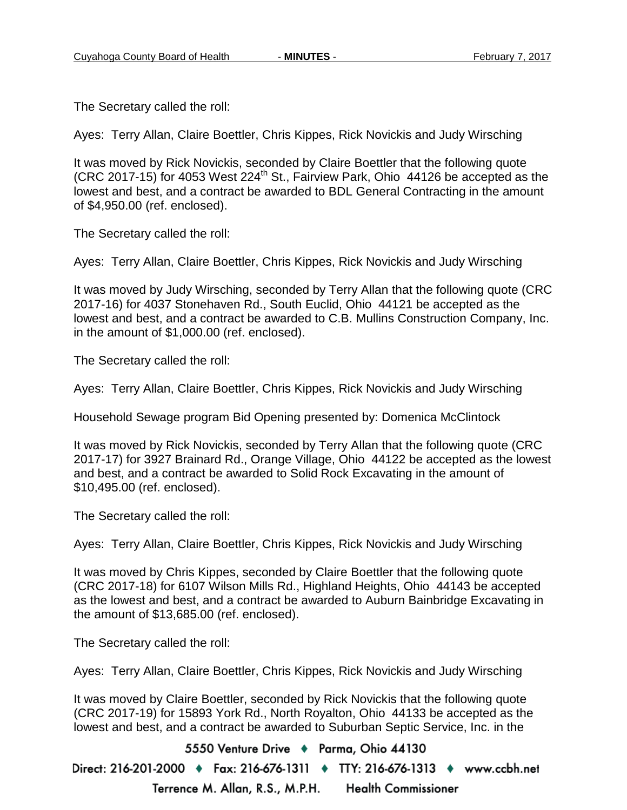The Secretary called the roll:

Ayes: Terry Allan, Claire Boettler, Chris Kippes, Rick Novickis and Judy Wirsching

It was moved by Rick Novickis, seconded by Claire Boettler that the following quote  $($ CRC 2017-15) for 4053 West 224<sup>th</sup> St., Fairview Park, Ohio 44126 be accepted as the lowest and best, and a contract be awarded to BDL General Contracting in the amount of \$4,950.00 (ref. enclosed).

The Secretary called the roll:

Ayes: Terry Allan, Claire Boettler, Chris Kippes, Rick Novickis and Judy Wirsching

It was moved by Judy Wirsching, seconded by Terry Allan that the following quote (CRC 2017-16) for 4037 Stonehaven Rd., South Euclid, Ohio 44121 be accepted as the lowest and best, and a contract be awarded to C.B. Mullins Construction Company, Inc. in the amount of \$1,000.00 (ref. enclosed).

The Secretary called the roll:

Ayes: Terry Allan, Claire Boettler, Chris Kippes, Rick Novickis and Judy Wirsching

Household Sewage program Bid Opening presented by: Domenica McClintock

It was moved by Rick Novickis, seconded by Terry Allan that the following quote (CRC 2017-17) for 3927 Brainard Rd., Orange Village, Ohio 44122 be accepted as the lowest and best, and a contract be awarded to Solid Rock Excavating in the amount of \$10,495.00 (ref. enclosed).

The Secretary called the roll:

Ayes: Terry Allan, Claire Boettler, Chris Kippes, Rick Novickis and Judy Wirsching

It was moved by Chris Kippes, seconded by Claire Boettler that the following quote (CRC 2017-18) for 6107 Wilson Mills Rd., Highland Heights, Ohio 44143 be accepted as the lowest and best, and a contract be awarded to Auburn Bainbridge Excavating in the amount of \$13,685.00 (ref. enclosed).

The Secretary called the roll:

Ayes: Terry Allan, Claire Boettler, Chris Kippes, Rick Novickis and Judy Wirsching

It was moved by Claire Boettler, seconded by Rick Novickis that the following quote (CRC 2017-19) for 15893 York Rd., North Royalton, Ohio 44133 be accepted as the lowest and best, and a contract be awarded to Suburban Septic Service, Inc. in the

5550 Venture Drive + Parma, Ohio 44130

Direct: 216-201-2000 ♦ Fax: 216-676-1311 ♦ TTY: 216-676-1313 ♦ www.ccbh.net Terrence M. Allan, R.S., M.P.H. **Health Commissioner**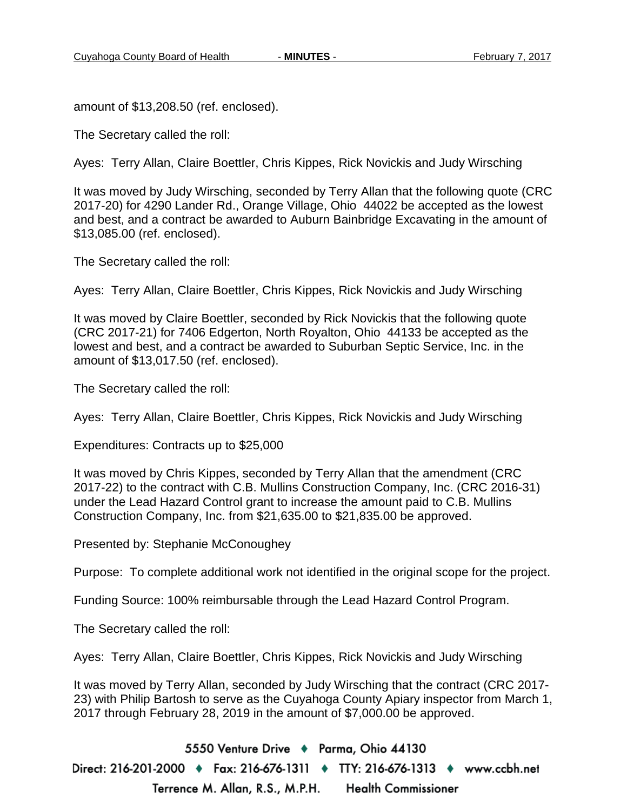amount of \$13,208.50 (ref. enclosed).

The Secretary called the roll:

Ayes: Terry Allan, Claire Boettler, Chris Kippes, Rick Novickis and Judy Wirsching

It was moved by Judy Wirsching, seconded by Terry Allan that the following quote (CRC 2017-20) for 4290 Lander Rd., Orange Village, Ohio 44022 be accepted as the lowest and best, and a contract be awarded to Auburn Bainbridge Excavating in the amount of \$13,085.00 (ref. enclosed).

The Secretary called the roll:

Ayes: Terry Allan, Claire Boettler, Chris Kippes, Rick Novickis and Judy Wirsching

It was moved by Claire Boettler, seconded by Rick Novickis that the following quote (CRC 2017-21) for 7406 Edgerton, North Royalton, Ohio 44133 be accepted as the lowest and best, and a contract be awarded to Suburban Septic Service, Inc. in the amount of \$13,017.50 (ref. enclosed).

The Secretary called the roll:

Ayes: Terry Allan, Claire Boettler, Chris Kippes, Rick Novickis and Judy Wirsching

Expenditures: Contracts up to \$25,000

It was moved by Chris Kippes, seconded by Terry Allan that the amendment (CRC 2017-22) to the contract with C.B. Mullins Construction Company, Inc. (CRC 2016-31) under the Lead Hazard Control grant to increase the amount paid to C.B. Mullins Construction Company, Inc. from \$21,635.00 to \$21,835.00 be approved.

Presented by: Stephanie McConoughey

Purpose: To complete additional work not identified in the original scope for the project.

Funding Source: 100% reimbursable through the Lead Hazard Control Program.

The Secretary called the roll:

Ayes: Terry Allan, Claire Boettler, Chris Kippes, Rick Novickis and Judy Wirsching

It was moved by Terry Allan, seconded by Judy Wirsching that the contract (CRC 2017- 23) with Philip Bartosh to serve as the Cuyahoga County Apiary inspector from March 1, 2017 through February 28, 2019 in the amount of \$7,000.00 be approved.

5550 Venture Drive + Parma, Ohio 44130 Direct: 216-201-2000 ♦ Fax: 216-676-1311 ♦ TTY: 216-676-1313 ♦ www.ccbh.net Terrence M. Allan, R.S., M.P.H. **Health Commissioner**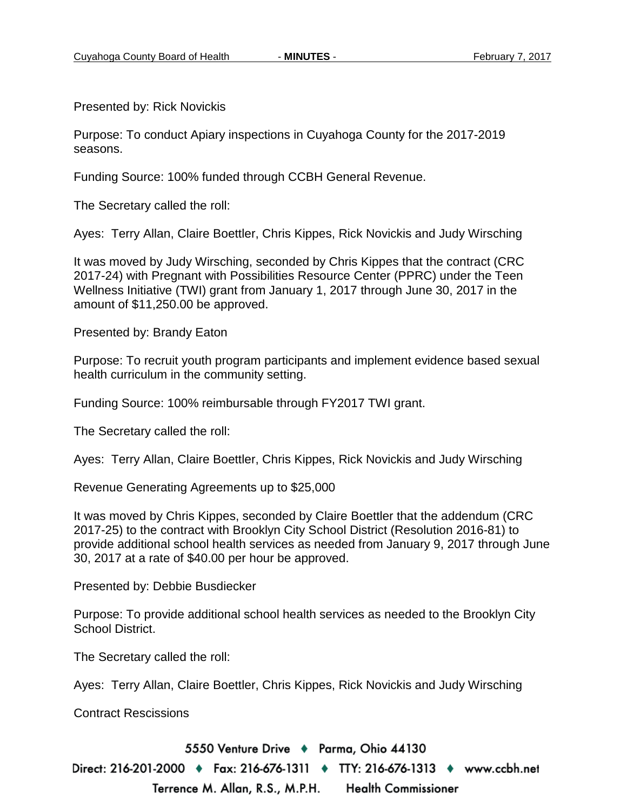Presented by: Rick Novickis

Purpose: To conduct Apiary inspections in Cuyahoga County for the 2017-2019 seasons.

Funding Source: 100% funded through CCBH General Revenue.

The Secretary called the roll:

Ayes: Terry Allan, Claire Boettler, Chris Kippes, Rick Novickis and Judy Wirsching

It was moved by Judy Wirsching, seconded by Chris Kippes that the contract (CRC 2017-24) with Pregnant with Possibilities Resource Center (PPRC) under the Teen Wellness Initiative (TWI) grant from January 1, 2017 through June 30, 2017 in the amount of \$11,250.00 be approved.

Presented by: Brandy Eaton

Purpose: To recruit youth program participants and implement evidence based sexual health curriculum in the community setting.

Funding Source: 100% reimbursable through FY2017 TWI grant.

The Secretary called the roll:

Ayes: Terry Allan, Claire Boettler, Chris Kippes, Rick Novickis and Judy Wirsching

Revenue Generating Agreements up to \$25,000

It was moved by Chris Kippes, seconded by Claire Boettler that the addendum (CRC 2017-25) to the contract with Brooklyn City School District (Resolution 2016-81) to provide additional school health services as needed from January 9, 2017 through June 30, 2017 at a rate of \$40.00 per hour be approved.

Presented by: Debbie Busdiecker

Purpose: To provide additional school health services as needed to the Brooklyn City School District.

The Secretary called the roll:

Ayes: Terry Allan, Claire Boettler, Chris Kippes, Rick Novickis and Judy Wirsching

Contract Rescissions

5550 Venture Drive + Parma, Ohio 44130

Direct: 216-201-2000 ♦ Fax: 216-676-1311 ♦ TTY: 216-676-1313 ♦ www.ccbh.net Terrence M. Allan, R.S., M.P.H. **Health Commissioner**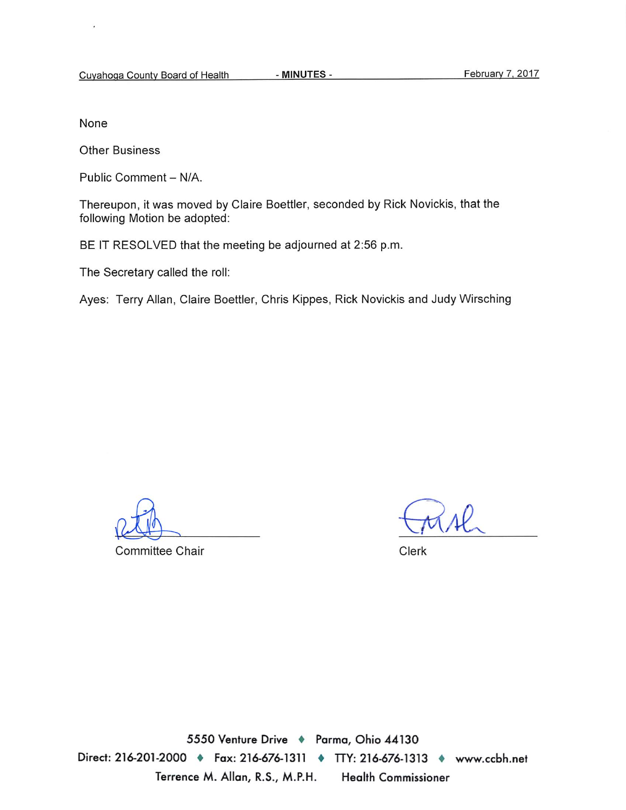None

**Other Business** 

Public Comment - N/A.

Thereupon, it was moved by Claire Boettler, seconded by Rick Novickis, that the following Motion be adopted:

BE IT RESOLVED that the meeting be adjourned at 2:56 p.m.

The Secretary called the roll:

Ayes: Terry Allan, Claire Boettler, Chris Kippes, Rick Novickis and Judy Wirsching

Committee Chair

Clerk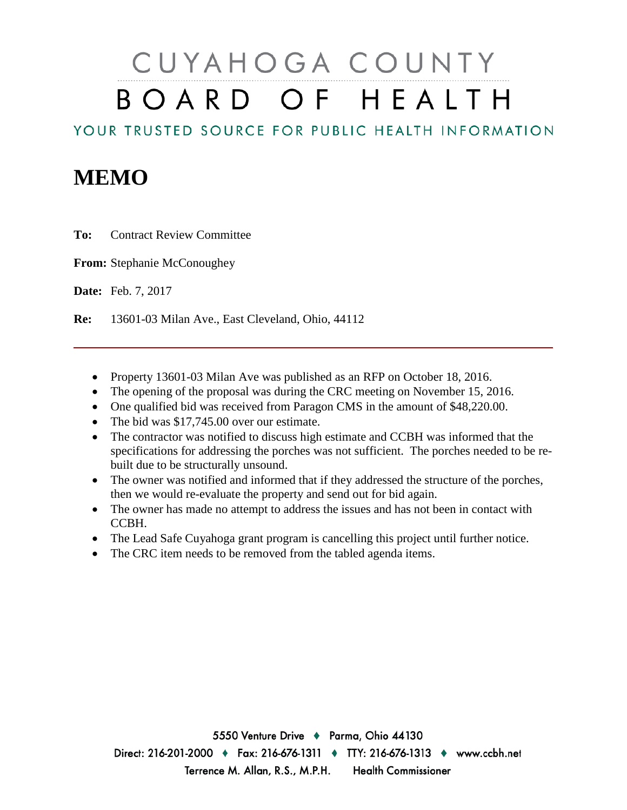# CUYAHOGA COUNTY BOARD OF HEALTH

YOUR TRUSTED SOURCE FOR PUBLIC HEALTH INFORMATION

## **MEMO**

**To:** Contract Review Committee

**From:** Stephanie McConoughey

**Date:** Feb. 7, 2017

**Re:** 13601-03 Milan Ave., East Cleveland, Ohio, 44112

- Property 13601-03 Milan Ave was published as an RFP on October 18, 2016.
- The opening of the proposal was during the CRC meeting on November 15, 2016.
- One qualified bid was received from Paragon CMS in the amount of \$48,220.00.
- The bid was \$17,745.00 over our estimate.
- The contractor was notified to discuss high estimate and CCBH was informed that the specifications for addressing the porches was not sufficient. The porches needed to be rebuilt due to be structurally unsound.
- The owner was notified and informed that if they addressed the structure of the porches, then we would re-evaluate the property and send out for bid again.
- The owner has made no attempt to address the issues and has not been in contact with CCBH.
- The Lead Safe Cuyahoga grant program is cancelling this project until further notice.
- The CRC item needs to be removed from the tabled agenda items.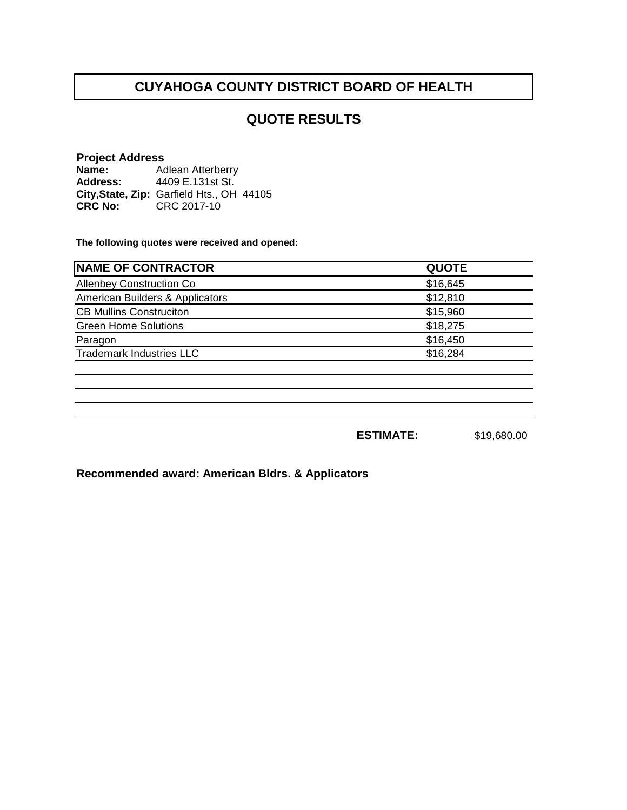## **QUOTE RESULTS**

#### **Project Address**

**Name: Address: City,State, Zip: CRC No:** CRC 2017-10 Adlean Atterberry 4409 E.131st St. Garfield Hts., OH 44105

**The following quotes were received and opened:**

| <b>NAME OF CONTRACTOR</b>       | <b>QUOTE</b> |
|---------------------------------|--------------|
| <b>Allenbey Construction Co</b> | \$16,645     |
| American Builders & Applicators | \$12,810     |
| <b>CB Mullins Construciton</b>  | \$15,960     |
| <b>Green Home Solutions</b>     | \$18,275     |
| Paragon                         | \$16,450     |
| <b>Trademark Industries LLC</b> | \$16,284     |
|                                 |              |

**ESTIMATE:** \$19,680.00

**Recommended award: American Bldrs. & Applicators**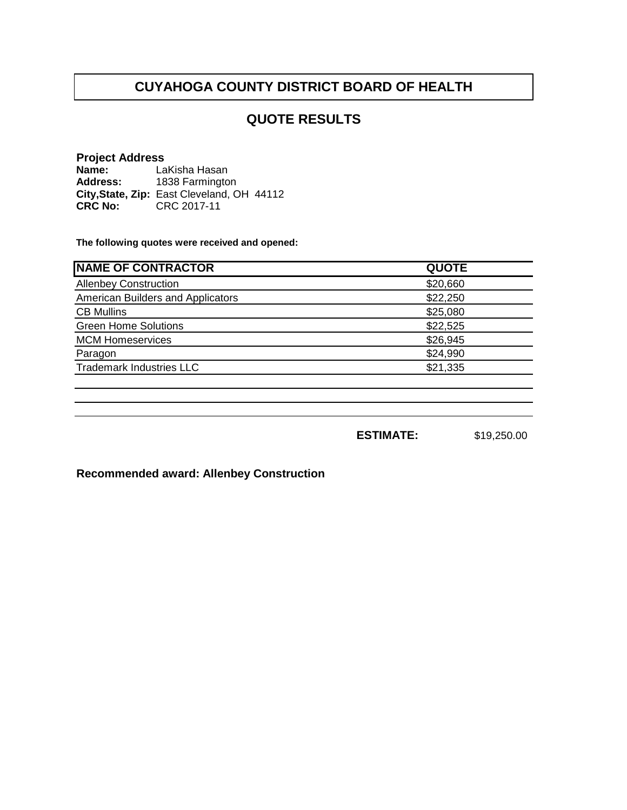## **QUOTE RESULTS**

#### **Project Address**

**Name: Address: City,State, Zip: CRC No:** CRC 2017-11 LaKisha Hasan 1838 Farmington East Cleveland, OH 44112

**The following quotes were received and opened:**

| <b>QUOTE</b> |
|--------------|
| \$20,660     |
| \$22,250     |
| \$25,080     |
| \$22,525     |
| \$26,945     |
| \$24,990     |
| \$21,335     |
|              |

**ESTIMATE:** \$19,250.00

**Recommended award: Allenbey Construction**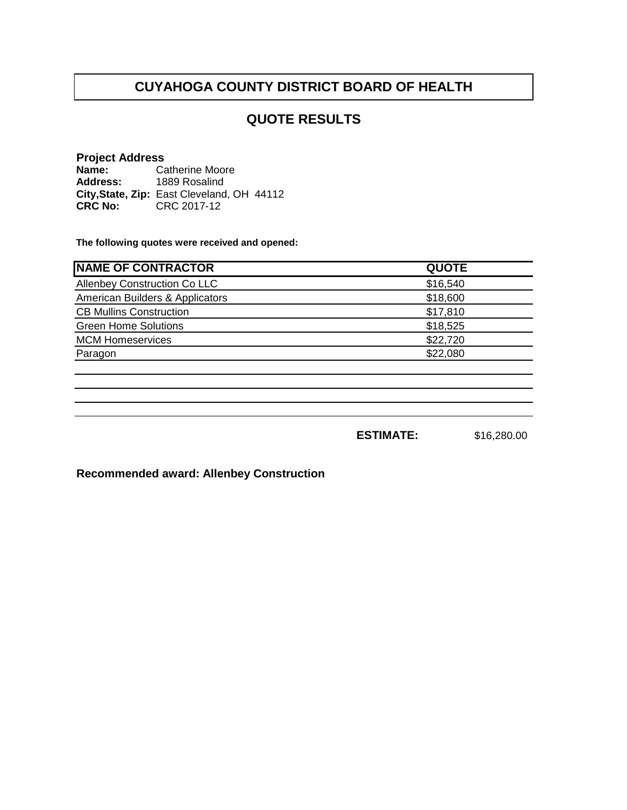## **QUOTE RESULTS**

#### **Project Address**

**Name: Address: City,State, Zip: CRC No:** CRC 2017-12 Catherine Moore 1889 Rosalind East Cleveland, OH 44112

**The following quotes were received and opened:**

| <b>NAME OF CONTRACTOR</b>       | <b>QUOTE</b> |
|---------------------------------|--------------|
| Allenbey Construction Co LLC    | \$16,540     |
| American Builders & Applicators | \$18,600     |
| <b>CB Mullins Construction</b>  | \$17,810     |
| <b>Green Home Solutions</b>     | \$18,525     |
| <b>MCM Homeservices</b>         | \$22,720     |
| Paragon                         | \$22,080     |
|                                 |              |

**ESTIMATE:** \$16,280.00

**Recommended award: Allenbey Construction**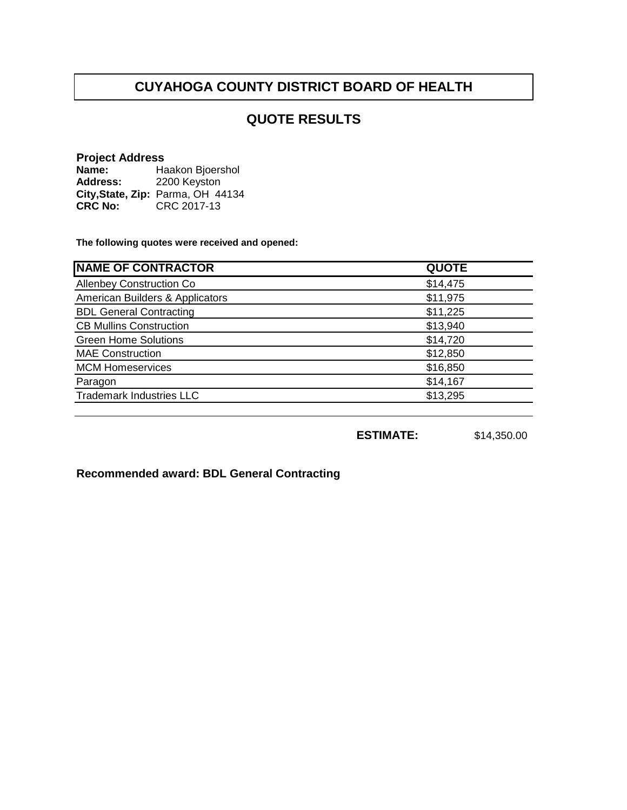## **QUOTE RESULTS**

#### **Project Address**

**Name: Address: City,State, Zip: CRC No:** CRC 2017-13 Haakon Bjoershol 2200 Keyston Parma, OH 44134

**The following quotes were received and opened:**

| <b>QUOTE</b> |
|--------------|
| \$14,475     |
| \$11,975     |
| \$11,225     |
| \$13,940     |
| \$14,720     |
| \$12,850     |
| \$16,850     |
| \$14,167     |
| \$13,295     |
|              |

**ESTIMATE:** \$14,350.00

**Recommended award: BDL General Contracting**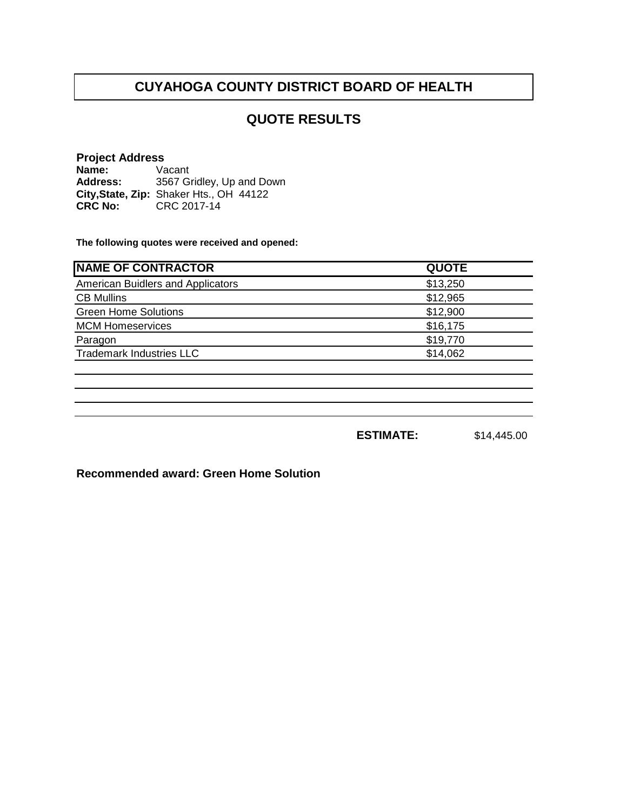## **QUOTE RESULTS**

#### **Project Address**

**Name: Address: City,State, Zip: CRC No:** CRC 2017-14 Vacant 3567 Gridley, Up and Down Shaker Hts., OH 44122

**The following quotes were received and opened:**

| <b>NAME OF CONTRACTOR</b>         | <b>QUOTE</b> |
|-----------------------------------|--------------|
| American Buidlers and Applicators | \$13,250     |
| <b>CB Mullins</b>                 | \$12,965     |
| <b>Green Home Solutions</b>       | \$12,900     |
| <b>MCM Homeservices</b>           | \$16,175     |
| Paragon                           | \$19,770     |
| <b>Trademark Industries LLC</b>   | \$14,062     |
|                                   |              |

**ESTIMATE:** \$14,445.00

**Recommended award: Green Home Solution**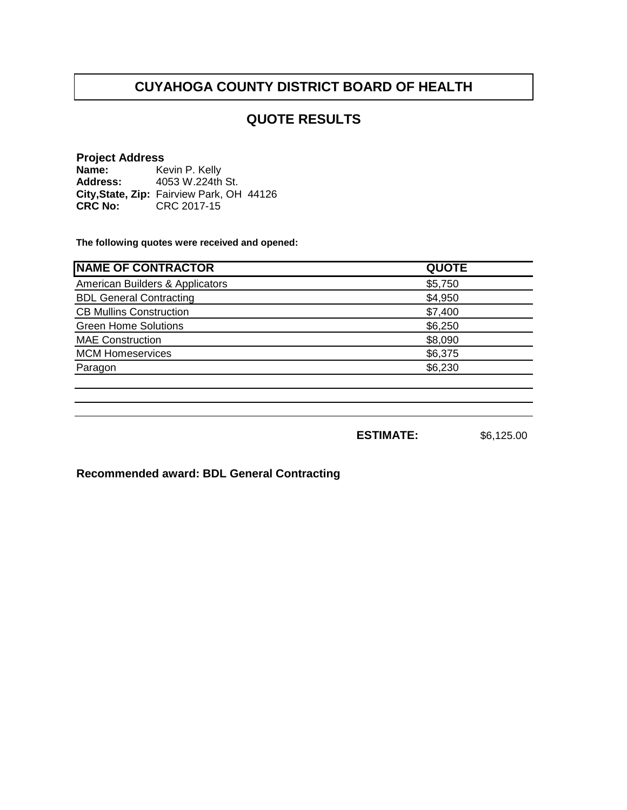## **QUOTE RESULTS**

#### **Project Address**

**Name: Address: City,State, Zip:** Fairview Park, OH 44126**CRC No: CRC 2017-15** Kevin P. Kelly 4053 W.224th St.

**The following quotes were received and opened:**

| <b>QUOTE</b> |
|--------------|
| \$5,750      |
| \$4,950      |
| \$7,400      |
| \$6,250      |
| \$8,090      |
| \$6,375      |
| \$6,230      |
|              |

**ESTIMATE:** \$6,125.00

**Recommended award: BDL General Contracting**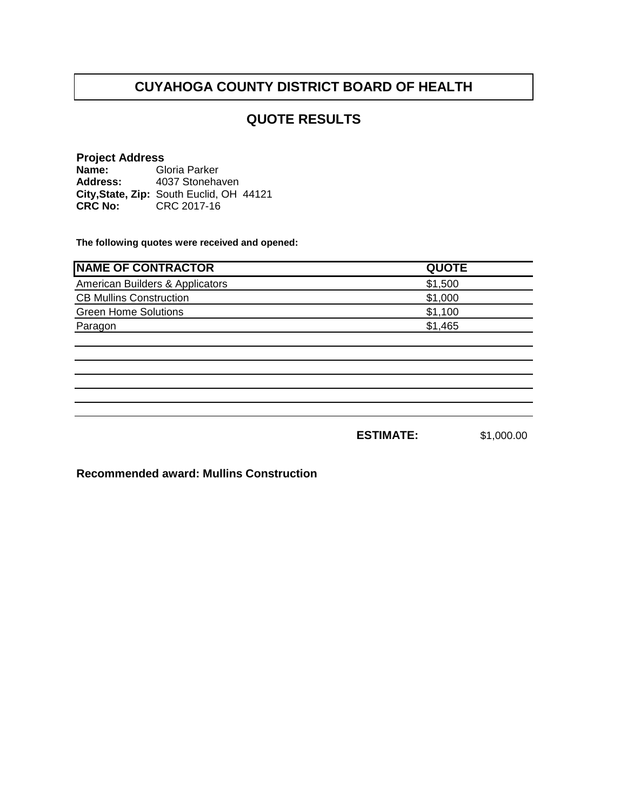## **QUOTE RESULTS**

#### **Project Address**

**Name: Address:** City, State, Zip: South Euclid, OH 44121 **CRC No:** CRC 2017-16 Gloria Parker 4037 Stonehaven

**The following quotes were received and opened:**

| <b>INAME OF CONTRACTOR</b>      | <b>QUOTE</b> |
|---------------------------------|--------------|
| American Builders & Applicators | \$1,500      |
| <b>CB Mullins Construction</b>  | \$1,000      |
| <b>Green Home Solutions</b>     | \$1,100      |
| Paragon                         | \$1,465      |
|                                 |              |

**ESTIMATE:** \$1,000.00

**Recommended award: Mullins Construction**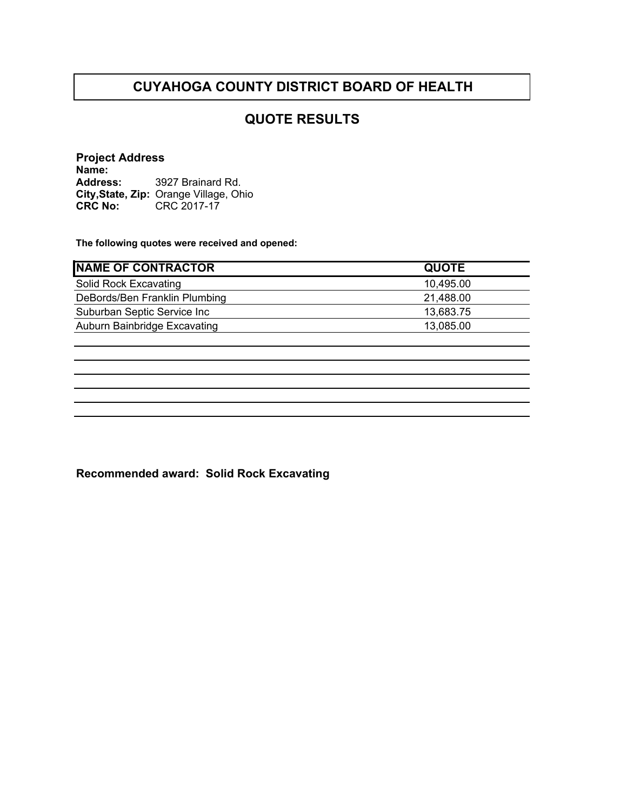## **QUOTE RESULTS**

**Project Address Name: Address: City,State, Zip: CRC No:** CRC 2017-17 3927 Brainard Rd. Orange Village, Ohio

**The following quotes were received and opened:**

| <b>NAME OF CONTRACTOR</b>     | <b>QUOTE</b> |
|-------------------------------|--------------|
| Solid Rock Excavating         | 10,495.00    |
| DeBords/Ben Franklin Plumbing | 21,488.00    |
| Suburban Septic Service Inc   | 13,683.75    |
| Auburn Bainbridge Excavating  | 13,085.00    |
|                               |              |

**Recommended award: Solid Rock Excavating**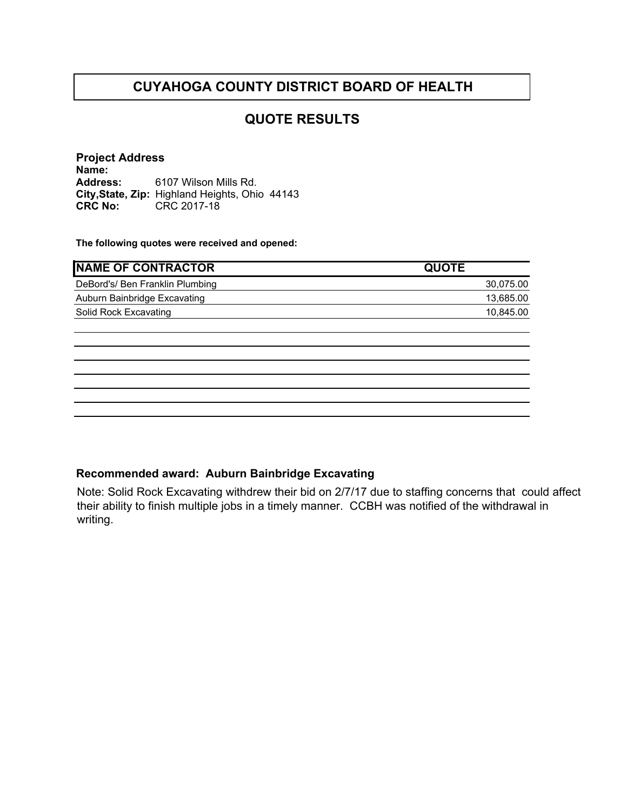## **QUOTE RESULTS**

**Project Address Name: Address: City,State, Zip:** Highland Heights, Ohio 44143 **CRC No:** CRC 2017-18 6107 Wilson Mills Rd.

**The following quotes were received and opened:**

| <b>INAME OF CONTRACTOR</b>      | <b>QUOTE</b> |
|---------------------------------|--------------|
| DeBord's/ Ben Franklin Plumbing | 30,075.00    |
| Auburn Bainbridge Excavating    | 13.685.00    |
| Solid Rock Excavating           | 10.845.00    |
|                                 |              |

#### **Recommended award: Auburn Bainbridge Excavating**

Note: Solid Rock Excavating withdrew their bid on 2/7/17 due to staffing concerns that could affect their ability to finish multiple jobs in a timely manner. CCBH was notified of the withdrawal in writing.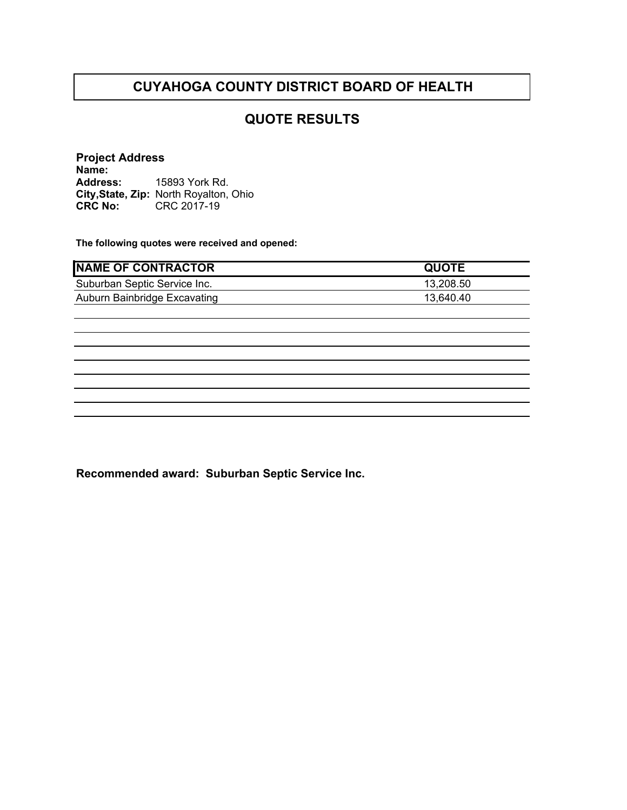## **QUOTE RESULTS**

**Project Address Name: Address: City,State, Zip:** North Royalton, Ohio**CRC No:** CRC 2017-19 15893 York Rd.

**The following quotes were received and opened:**

| <b>NAME OF CONTRACTOR</b>    | <b>QUOTE</b> |
|------------------------------|--------------|
| Suburban Septic Service Inc. | 13,208.50    |
| Auburn Bainbridge Excavating | 13,640.40    |
|                              |              |
|                              |              |
|                              |              |
|                              |              |
|                              |              |
|                              |              |
|                              |              |
|                              |              |

**Recommended award: Suburban Septic Service Inc.**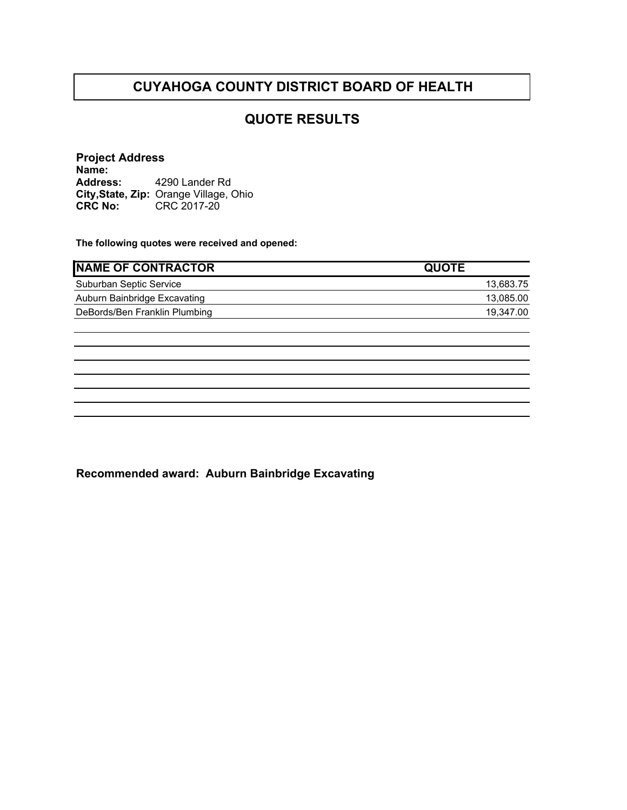## **QUOTE RESULTS**

**Project Address Name: Address: City,State, Zip: CRC No:** CRC 2017-20 4290 Lander Rd Orange Village, Ohio

**The following quotes were received and opened:**

| <b>INAME OF CONTRACTOR</b>    | <b>QUOTE</b> |
|-------------------------------|--------------|
| Suburban Septic Service       | 13,683.75    |
| Auburn Bainbridge Excavating  | 13,085.00    |
| DeBords/Ben Franklin Plumbing | 19.347.00    |
|                               |              |

**Recommended award: Auburn Bainbridge Excavating**